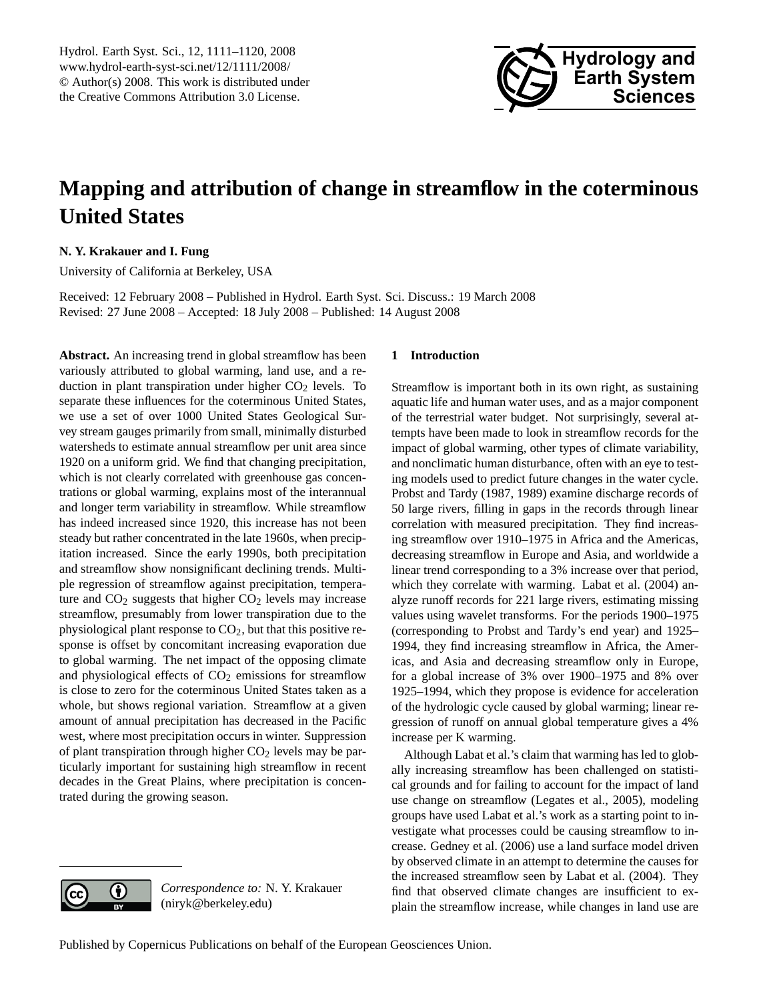

# <span id="page-0-0"></span>**Mapping and attribution of change in streamflow in the coterminous United States**

## **N. Y. Krakauer and I. Fung**

University of California at Berkeley, USA

Received: 12 February 2008 – Published in Hydrol. Earth Syst. Sci. Discuss.: 19 March 2008 Revised: 27 June 2008 – Accepted: 18 July 2008 – Published: 14 August 2008

**Abstract.** An increasing trend in global streamflow has been variously attributed to global warming, land use, and a reduction in plant transpiration under higher  $CO<sub>2</sub>$  levels. To separate these influences for the coterminous United States, we use a set of over 1000 United States Geological Survey stream gauges primarily from small, minimally disturbed watersheds to estimate annual streamflow per unit area since 1920 on a uniform grid. We find that changing precipitation, which is not clearly correlated with greenhouse gas concentrations or global warming, explains most of the interannual and longer term variability in streamflow. While streamflow has indeed increased since 1920, this increase has not been steady but rather concentrated in the late 1960s, when precipitation increased. Since the early 1990s, both precipitation and streamflow show nonsignificant declining trends. Multiple regression of streamflow against precipitation, temperature and  $CO<sub>2</sub>$  suggests that higher  $CO<sub>2</sub>$  levels may increase streamflow, presumably from lower transpiration due to the physiological plant response to  $CO<sub>2</sub>$ , but that this positive response is offset by concomitant increasing evaporation due to global warming. The net impact of the opposing climate and physiological effects of  $CO<sub>2</sub>$  emissions for streamflow is close to zero for the coterminous United States taken as a whole, but shows regional variation. Streamflow at a given amount of annual precipitation has decreased in the Pacific west, where most precipitation occurs in winter. Suppression of plant transpiration through higher  $CO<sub>2</sub>$  levels may be particularly important for sustaining high streamflow in recent decades in the Great Plains, where precipitation is concentrated during the growing season.

### **1 Introduction**

Streamflow is important both in its own right, as sustaining aquatic life and human water uses, and as a major component of the terrestrial water budget. Not surprisingly, several attempts have been made to look in streamflow records for the impact of global warming, other types of climate variability, and nonclimatic human disturbance, often with an eye to testing models used to predict future changes in the water cycle. [Probst and Tardy](#page-9-0) [\(1987,](#page-9-0) [1989\)](#page-9-1) examine discharge records of 50 large rivers, filling in gaps in the records through linear correlation with measured precipitation. They find increasing streamflow over 1910–1975 in Africa and the Americas, decreasing streamflow in Europe and Asia, and worldwide a linear trend corresponding to a 3% increase over that period, which they correlate with warming. [Labat et al.](#page-8-0) [\(2004\)](#page-8-0) analyze runoff records for 221 large rivers, estimating missing values using wavelet transforms. For the periods 1900–1975 (corresponding to [Probst and Tardy'](#page-9-0)s end year) and 1925– 1994, they find increasing streamflow in Africa, the Americas, and Asia and decreasing streamflow only in Europe, for a global increase of 3% over 1900–1975 and 8% over 1925–1994, which they propose is evidence for acceleration of the hydrologic cycle caused by global warming; linear regression of runoff on annual global temperature gives a 4% increase per K warming.

Although [Labat et al.'](#page-8-0)s claim that warming has led to globally increasing streamflow has been challenged on statistical grounds and for failing to account for the impact of land use change on streamflow [\(Legates et al.,](#page-8-1) [2005\)](#page-8-1), modeling groups have used [Labat et al.'](#page-8-0)s work as a starting point to investigate what processes could be causing streamflow to increase. [Gedney et al.](#page-8-2) [\(2006\)](#page-8-2) use a land surface model driven by observed climate in an attempt to determine the causes for the increased streamflow seen by [Labat et al.](#page-8-0) [\(2004\)](#page-8-0). They find that observed climate changes are insufficient to explain the streamflow increase, while changes in land use are

*Correspondence to:* N. Y. Krakauer

(niryk@berkeley.edu)

 $\left( \cdot \right)$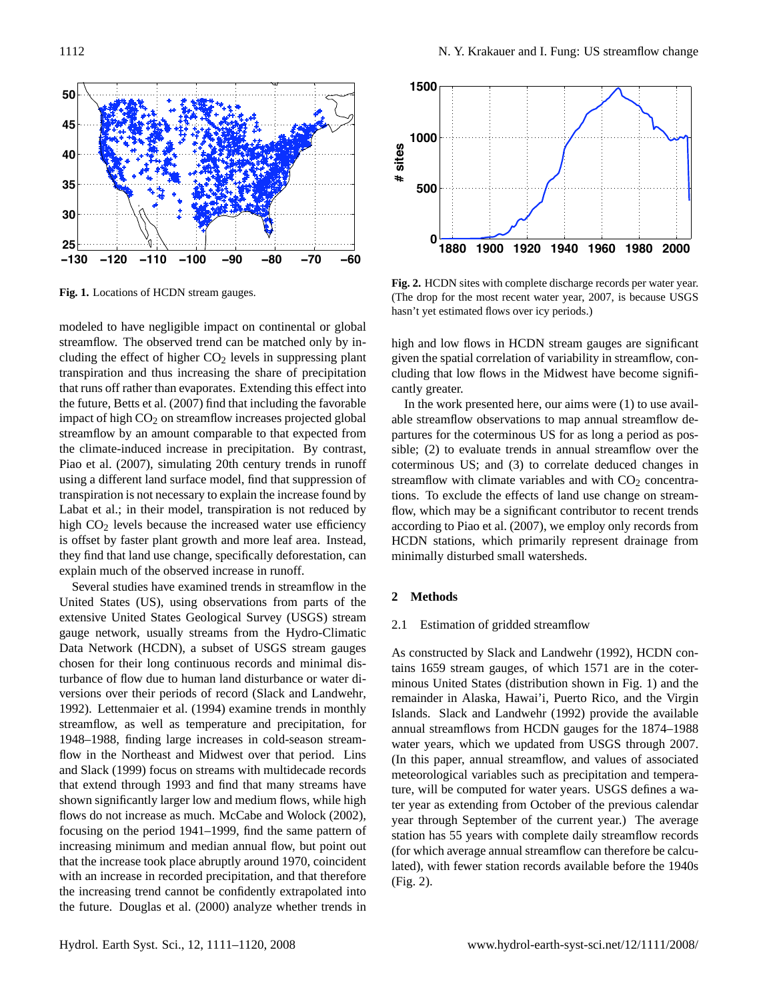

<span id="page-1-0"></span>Fig. 1. Locations of HCDN stream gauges. **Fig. 1.** Locations of HCDN stream gauges.

**1880 1900 1920 1940 1960 1980 2000** using a different land surface model, find that suppression of **0** [Piao et al.](#page-9-2) [\(2007\)](#page-9-2), simulating 20th century trends in runoff impact of high CO<sub>2</sub> on streamflow increases projected global **1000** transpiration and thus increasing the share of precipitation **1500** that runs off rather than evaporates. Extending this effect into<br>the future, Betts et al. (2007) find that including the favorable [Labat et al.;](#page-8-0) in their model, transpiration is not reduced by flow, when is offset by faster plant growth and more leaf area. Instead, HCDN s they find that land use change, specifically deforestation, can minimal explain much of the observed increase in runoff. greater in the east than in the more mountainous west modeled to have negligible impact on continental or global streamflow. The observed trend can be matched only by including the effect of higher  $CO<sub>2</sub>$  levels in suppressing plant the future, [Betts et al.](#page-8-3) [\(2007\)](#page-8-3) find that including the favorable streamflow by an amount comparable to that expected from the climate-induced increase in precipitation. By contrast, transpiration is not necessary to explain the increase found by high  $CO<sub>2</sub>$  levels because the increased water use efficiency

(Several studies have exam- $\frac{1}{2}$  services using a restricted may be restricted may be restricted matrix. United States (US), using observations from parts of the  $\sim$  Meu stream and the space of the above and the end of the extensive Thited States Geological Survey (USGS) stream folding decay length; Figure 3) and correlation decayed gauge network, usually streams from the Hydro-Climatic  $\frac{2.1}{2.1}$  Est Data Network (HCDN), a subset of USGS stream gauges  $\overline{a}$ chosen for their long continuous records and minimal dis-Several studies have examined trends in streamflow in the extensive United States Geological Survey (USGS) stream  $\frac{1}{2}$  Figst Data Network (HCDN), a subset of USGS stream gauges As const turbance of flow due to human land disturbance or water diversions over their periods of record [\(Slack and Landwehr,](#page-9-3) [1992\)](#page-9-3). [Lettenmaier et al.](#page-8-4) [\(1994\)](#page-8-4) examine trends in monthly streamflow, as well as temperature and precipitation, for 1948–1988, finding large increases in cold-season streamflow in the Northeast and Midwest over that period. [Lins](#page-8-5) [and Slack](#page-8-5) [\(1999\)](#page-8-5) focus on streams with multidecade records that extend through 1993 and find that many streams have shown significantly larger low and medium flows, while high flows do not increase as much. [McCabe and Wolock](#page-9-4) [\(2002\)](#page-9-4), focusing on the period 1941–1999, find the same pattern of increasing minimum and median annual flow, but point out that the increase took place abruptly around 1970, coincident with an increase in recorded precipitation, and that therefore the increasing trend cannot be confidently extrapolated into the future. [Douglas et al.](#page-8-6) [\(2000\)](#page-8-6) analyze whether trends in



<span id="page-1-1"></span>Fig. 2. HCDN sites with complete discharge records per water year. hasn't yet estimated flows over icy periods.)  $t^{\text{max}}$ (The drop for the most recent water year, 2007, is because USGS

y by in-<br>high and low flows in HCDN stream gauges are significant sing plant given the spatial correlation of variability in streamflow, con- $\frac{6}{100}$  series using a restricted maximum likelihood apcipitation cluding that low flows in the Midwest have become signifieffect into cantly greater. high and low flows in HCDN stream gauges are significant  $\mathcal{L}$ 

 $f_{\text{oxoph}}$  and  $f_{\text{ox}}$  and correlation decayed favorable In the work presented here, our aims were  $(1)$  to use availted global able streamflow observations to map annual streamflow dered growth and sub-ground we approximately contained the sub-ground sub-ground as pos-<br>cted from partures for the coterminous US for as long a period as possible; (2) to evaluate trends in annual streamflow over the coterminous US; and (3) to correlate deduced changes in streamflow with climate variables and with  $CO<sub>2</sub>$  concentrations. To exclude the effects of land use change on streamflow, which may be a significant contributor to recent trends according to [Piao et al.](#page-9-2) [\(2007\)](#page-9-2), we employ only records from HCDN stations, which primarily represent drainage from minimally disturbed small watersheds.

### **2 Methods**

### 2.1 Estimation of gridded streamflow

As constructed by [Slack and Landwehr](#page-9-3) [\(1992\)](#page-9-3), HCDN contains 1659 stream gauges, of which 1571 are in the coterminous United States (distribution shown in Fig. [1\)](#page-1-0) and the remainder in Alaska, Hawai'i, Puerto Rico, and the Virgin Islands. [Slack and Landwehr](#page-9-3) [\(1992\)](#page-9-3) provide the available annual streamflows from HCDN gauges for the 1874–1988 water years, which we updated from USGS through 2007. (In this paper, annual streamflow, and values of associated meteorological variables such as precipitation and temperature, will be computed for water years. USGS defines a water year as extending from October of the previous calendar year through September of the current year.) The average station has 55 years with complete daily streamflow records (for which average annual streamflow can therefore be calculated), with fewer station records available before the 1940s (Fig. [2\)](#page-1-1).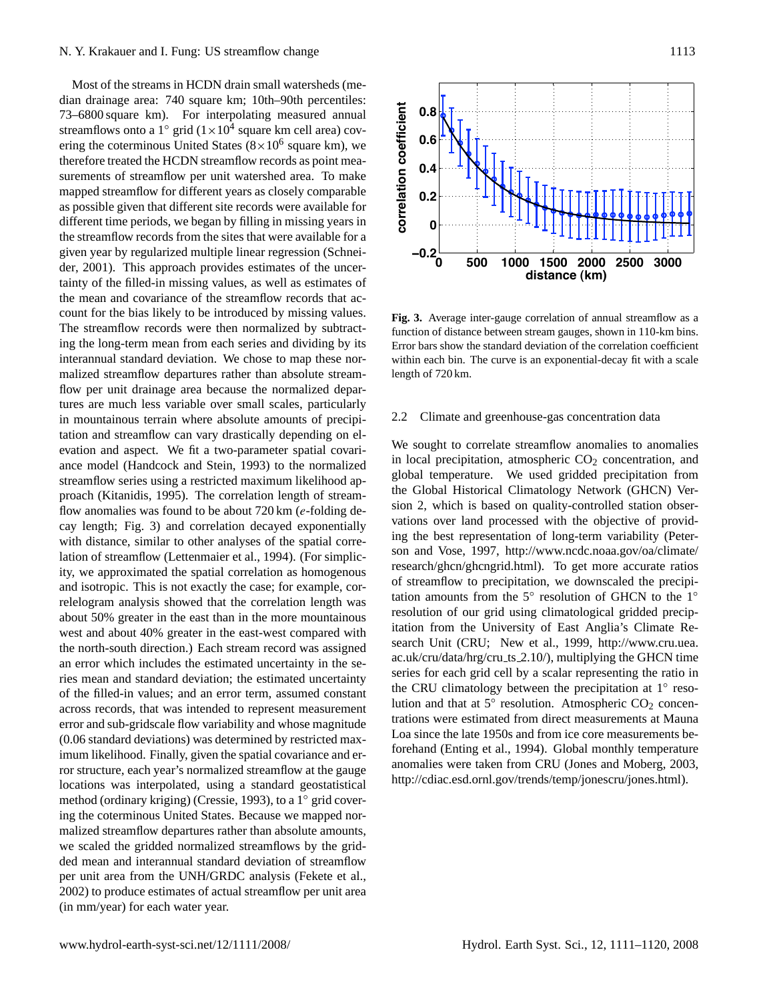Most of the streams in HCDN drain small watersheds (median drainage area: 740 square km; 10th–90th percentiles: 73–6800 square km). For interpolating measured annual streamflows onto a  $1^{\circ}$  grid  $(1 \times 10^4$  square km cell area) covering the coterminous United States  $(8 \times 10^6$  square km), we therefore treated the HCDN streamflow records as point measurements of streamflow per unit watershed area. To make mapped streamflow for different years as closely comparable as possible given that different site records were available for different time periods, we began by filling in missing years in the streamflow records from the sites that were available for a given year by regularized multiple linear regression [\(Schnei](#page-9-5)[der,](#page-9-5) [2001\)](#page-9-5). This approach provides estimates of the uncertainty of the filled-in missing values, as well as estimates of the mean and covariance of the streamflow records that account for the bias likely to be introduced by missing values. The streamflow records were then normalized by subtracting the long-term mean from each series and dividing by its interannual standard deviation. We chose to map these normalized streamflow departures rather than absolute streamflow per unit drainage area because the normalized departures are much less variable over small scales, particularly in mountainous terrain where absolute amounts of precipitation and streamflow can vary drastically depending on elevation and aspect. We fit a two-parameter spatial covariance model [\(Handcock and Stein,](#page-8-7) [1993\)](#page-8-7) to the normalized streamflow series using a restricted maximum likelihood approach [\(Kitanidis,](#page-8-8) [1995\)](#page-8-8). The correlation length of streamflow anomalies was found to be about  $720 \text{ km}$  (e-folding decay length; Fig. [3\)](#page-2-0) and correlation decayed exponentially with distance, similar to other analyses of the spatial correlation of streamflow [\(Lettenmaier et al.,](#page-8-4) [1994\)](#page-8-4). (For simplicity, we approximated the spatial correlation as homogenous and isotropic. This is not exactly the case; for example, correlelogram analysis showed that the correlation length was about 50% greater in the east than in the more mountainous west and about 40% greater in the east-west compared with the north-south direction.) Each stream record was assigned an error which includes the estimated uncertainty in the series mean and standard deviation; the estimated uncertainty of the filled-in values; and an error term, assumed constant across records, that was intended to represent measurement error and sub-gridscale flow variability and whose magnitude (0.06 standard deviations) was determined by restricted maximum likelihood. Finally, given the spatial covariance and error structure, each year's normalized streamflow at the gauge locations was interpolated, using a standard geostatistical method (ordinary kriging) [\(Cressie,](#page-8-9) [1993\)](#page-8-9), to a 1◦ grid covering the coterminous United States. Because we mapped normalized streamflow departures rather than absolute amounts, we scaled the gridded normalized streamflows by the gridded mean and interannual standard deviation of streamflow per unit area from the UNH/GRDC analysis [\(Fekete et al.,](#page-8-10) [2002\)](#page-8-10) to produce estimates of actual streamflow per unit area (in mm/year) for each water year.  $\sum_{i=1}^n$  in the moist east  $\sum_{i=1}^n$  is the moist east (regression coefficient coefficient coefficient coefficient coefficient coefficient coefficient coefficient coefficient coefficient coefficient coefficient coeff



<span id="page-2-0"></span>explorer Fig. 3. Average inter-gauge correlation of annual streamflow as a subtract-<br>function of distance between stream gauges, shown in 110-km bins. hese nor-<br>within each bin. The curve is an exponential-decay fit with a scale  $\epsilon$  stream shows benoth of  $720\,\mathrm{km}$  $t$  extream-<br>length of 720 km. Error bars show the standard deviation of the correlation coefficient

#### $\epsilon$  such that provide  $\epsilon$  change shows that precipitation mostly goes that precisely good  $\epsilon$ which the major direct cause of interaction data 2.2 Climate and greenhouse-gas concentration data

 $\sum_{n=1}^{\infty}$  We sought to correlate streamflow anomalies to anomalies  $\frac{d}{dx}$  in local precipitation atmospheric CO<sub>2</sub> concentration and  $\sum_{i=1}^{\infty}$  $t_{\text{thood}}$  and global temperature. We used gridded precipitation from  $\frac{1}{\text{total}}$  the Global Historical Climatology Network (GHCN) Ver- $\frac{1}{\pi}$  is the Great Planck in the center. The warm in the warm  $\frac{1}{\pi}$  is the warm  $\frac{1}{\pi}$  and  $\frac{1}{\pi}$  are  $\frac{1}{\pi}$  and  $\frac{1}{\pi}$  are  $\frac{1}{\pi}$  are  $\frac{1}{\pi}$  are  $\frac{1}{\pi}$  are  $\frac{1}{\pi}$  are  $\frac{1}{\pi}$   $\epsilon_{\text{entially}}$  vations over land processed with the objective of provid- $\sum_{n=1}^{\infty}$  ing the hest representation ial corre-  $\frac{mg}{dt}$  the best representation r simplic [son and Vose,](#page-9-6) [1997,](#page-9-6) [http://www.ncdc.noaa.gov/oa/climate/](http://www.ncdc.noaa.gov/oa/climate/research/ghcn/ghcngrid.html)  $m_{\text{vectors}}$  [research/ghcn/ghcngrid.html\)](http://www.ncdc.noaa.gov/oa/climate/research/ghcn/ghcngrid.html). To get more accurate ratios  $\log$  polarization fluctuation fluctuations was also weakest was also weakest was also weakest was also weakest  $\frac{1}{2}$  $\eta$  the  $\eta$  or summon to precipitation and  $\eta$ tation amounts from the 5<sup>°</sup> resolution of GHCN to the  $1°$ solution of our grid using untainous  $\frac{1}{x}$  to determine the annual termining streamless and the annual termining product product product ared with itation from the University of East Anglia's Climate Re $t_{\text{ascribed}}$  search Unit (CRU; [New et al.,](#page-9-7) [1999,](#page-9-7) [http://www.cru.uea.](http://www.cru.uea.ac.uk/cru/data/hrg/cru_ts_2.10/)  $\alpha$  assigned  $\alpha$  is a greater  $\alpha$  pre- $\epsilon_{\text{in the se}}$  ac.uk/cru/data/nrg/cru\_ts\_2.1 in local precipitation, atmospheric  $CO<sub>2</sub>$  concentration, and sion 2, which is based on quality-controlled station obser- $\frac{1}{2}$ ing the best representation of long-term variability [\(Peter-](#page-9-6) $\frac{d}{dt}$  decades the net effect of the net effect of the combiof streamflow to precipitation, we downscaled the precipiing induced by greenhouse gas emissions. resolution of our grid using climatological gridded precip- $\frac{1}{2}$  as a whole, with a regression coefficient coefficient coefficient coefficient coefficient coefficient coefficient coefficient coefficient coefficient coefficient coefficient coefficient coefficient coefficient c [ac.uk/cru/data/hrg/cru](http://www.cru.uea.ac.uk/cru/data/hrg/cru_ts_2.10/)\_ts\_2.10/), multiplying the GHCN time series for each grid cell by a scalar representing the ratio in the CRU climatology between the precipitation at 1<sup>°</sup> resolution and that at  $5^\circ$  resolution. Atmospheric CO<sub>2</sub> concentrations were estimated from direct measurements at Mauna Loa since the late 1950s and from ice core measurements beforehand [\(Enting et al.,](#page-8-11) [1994\)](#page-8-11). Global monthly temperature anomalies were taken from CRU [\(Jones and Moberg,](#page-8-12) [2003,](#page-8-12) [http://cdiac.esd.ornl.gov/trends/temp/jonescru/jones.html\)](http://cdiac.esd.ornl.gov/trends/temp/jonescru/jones.html).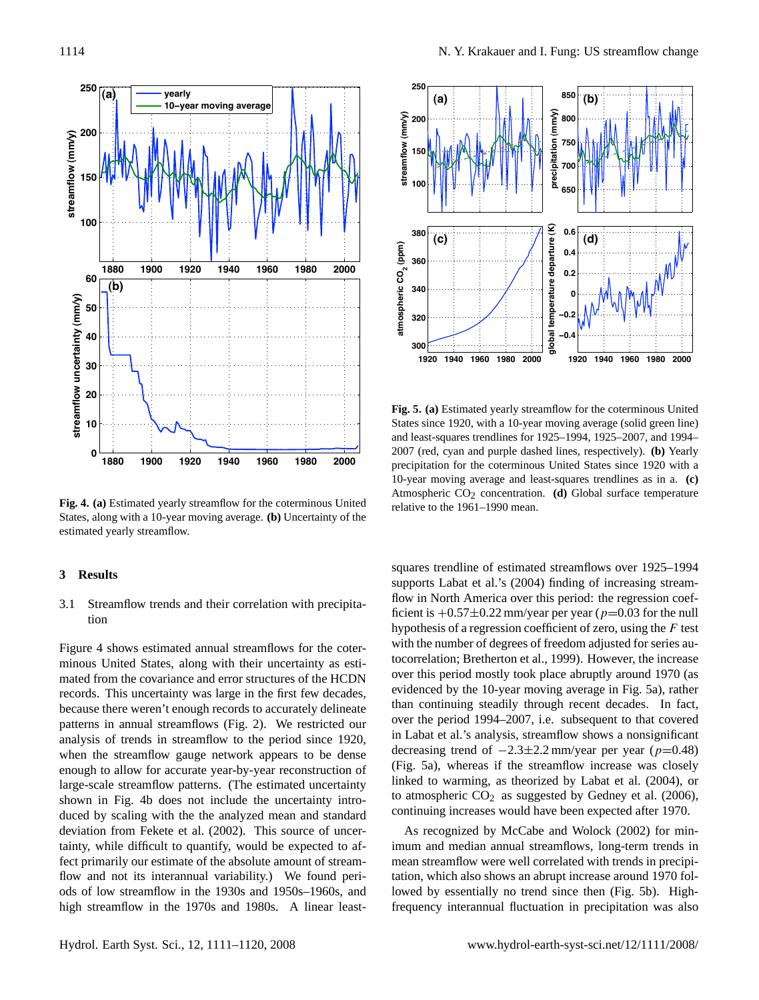

**Fig. 4. (a)** Estimated yearly streamflow for the coterminous United  $\frac{\text{Ripole}}{\text{relative to the 1961–1990}}$ States, along with a 10-year moving average. **(b)** Uncertainty of the estimated yearly streamflow.

#### $\overline{t}$  concentration from present  $\overline{t}$  $\mathcal{S}$  Results **3 Results**

### 3.1 Streamflow trends and their correlation with precipita- $\Gamma$  tion tion

Figure [4](#page-3-0) shows estimated annual streamflows for the coter-<br>the number of degree the condition of the temperature of the temperature of the temperature of the temperature minous United States, along with their uncertainty as esti-<br>numeration; Bretherton<br>minous United States, along with their uncertainty as esti-<br>numeration contributions of match mated from the covariance and error structures of the HCDN over this period mostly  $int **T**$  is separate the separate of the separate effects of the separate effects of the separate effects of the separate effects of the separate effects of the separate effects of the separate effects of the separate ef records. This uncertainty was large in the first few decades,<br>than continuing steadil  $\theta$  occause there weren tending  $\theta$ patterns in annual streamflows (Fig. 2). We restricted our over the period 1994–2 analysis of trends in streamflow to the period since 1920, large-scale streamflow patterns. (The estimated uncertainty  $\frac{1}{2}$  natural streamhlow pattle shown in Fig. [4b](#page-3-0) does not include the uncertainty introduced by scaling with the the analyzed mean and standard continuing increases wo deviation from [Fekete et al.](#page-8-10) [\(2002\)](#page-8-10). This source of uncer-<br>As recognized by M tainty, while difficult to quantify, would be expected to af-<br>imum and median annu because there weren't enough records to accurately delineate the continuing steadil when the streamflow gauge network appears to be dense enough to allow for accurate year-by-year reconstruction of fect primarily our estimate of the absolute amount of streamflow and not its interannual variability.) We found periods of low streamflow in the 1930s and 1950s–1960s, and high streamflow in the 1970s and 1980s. A linear least-



<span id="page-3-1"></span>**Fig. 5. (a)** Estimated yearly streamflow for the coterminous United States since 1920, with a 10-year moving average (solid green line) and least-squares trendlines for 1925–1994, 1925–2007, and 1994– 2007 (red, cyan and purple dashed lines, respectively). **(b)** Yearly precipitation for the coterminous United States since 1920 with a 10-year moving average and least-squares trendlines as in a. **(c)** Atmospheric CO<sub>2</sub> concentration. (d) Global surface temperature relative to the 1961–1990 mean.

<span id="page-3-0"></span>squares trendline of estimated streamflows over 1925–1994 supports [Labat et al.'](#page-8-0)s [\(2004\)](#page-8-0) finding of increasing streamr correlation with precipitation flow in North America over this period: the regression coefr correlation with precipita-<br>ficient is  $+0.57\pm0.22$  mm/year per year ( $p=0.03$  for the null hypothesis of a regression coefficient of zero, using the  $F$  test  $\frac{m}{f}$  parameter in a series in a continuum of  $\frac{m}{f}$  and  $\frac{m}{f}$  and  $\frac{m}{f}$  and  $\frac{m}{f}$  and  $\frac{m}{f}$  and  $\frac{m}{f}$  and  $\frac{m}{f}$  and  $\frac{m}{f}$  and  $\frac{m}{f}$  and  $\frac{m}{f}$  and  $\frac{m}{f}$  and  $\frac{m}{f}$  and  $\frac$  $F_{\text{F}}$   $\rightarrow$   $F_{\text{F}}$  and  $\rightarrow$   $F_{\text{F}}$   $\rightarrow$   $F_{\text{F}}$   $\rightarrow$   $F_{\text{F}}$   $\rightarrow$   $F_{\text{F}}$   $\rightarrow$   $F_{\text{F}}$   $\rightarrow$   $F_{\text{F}}$   $\rightarrow$   $F_{\text{F}}$   $\rightarrow$   $F_{\text{F}}$   $\rightarrow$   $F_{\text{F}}$   $\rightarrow$   $F_{\text{F}}$   $\rightarrow$   $F_{\text{F}}$   $\rightarrow$   $F_{\text{F}}$   $\rightarrow$   $F_{\text{F$ The estimated uncertainty linked to warming, as theorized by [Labat et al.](#page-8-0) [\(2004\)](#page-8-0), or to atmospheric  $CO<sub>2</sub>$  as suggested by [Gedney et al.](#page-8-2) [\(2006\)](#page-8-2), have the uncertainty intio-<br>nalyzed mean and standard continuing increases would have been expected after 1970. tocorrelation; [Bretherton et al.,](#page-8-13) [1999\)](#page-8-13). However, the increase over this period mostly took place abruptly around 1970 (as evidenced by the 10-year moving average in Fig. [5a](#page-3-1)), rather than continuing steadily through recent decades. In fact, over the period 1994–2007, i.e. subsequent to that covered in [Labat et al.'](#page-8-0)s analysis, streamflow shows a nonsignificant decreasing trend of  $-2.3\pm2.2$  mm/year per year (p=0.48)

> As recognized by [McCabe and Wolock](#page-9-4) [\(2002\)](#page-9-4) for minimum and median annual streamflows, long-term trends in mean streamflow were well correlated with trends in precipitation, which also shows an abrupt increase around 1970 followed by essentially no trend since then (Fig. [5b](#page-3-1)). Highfrequency interannual fluctuation in precipitation was also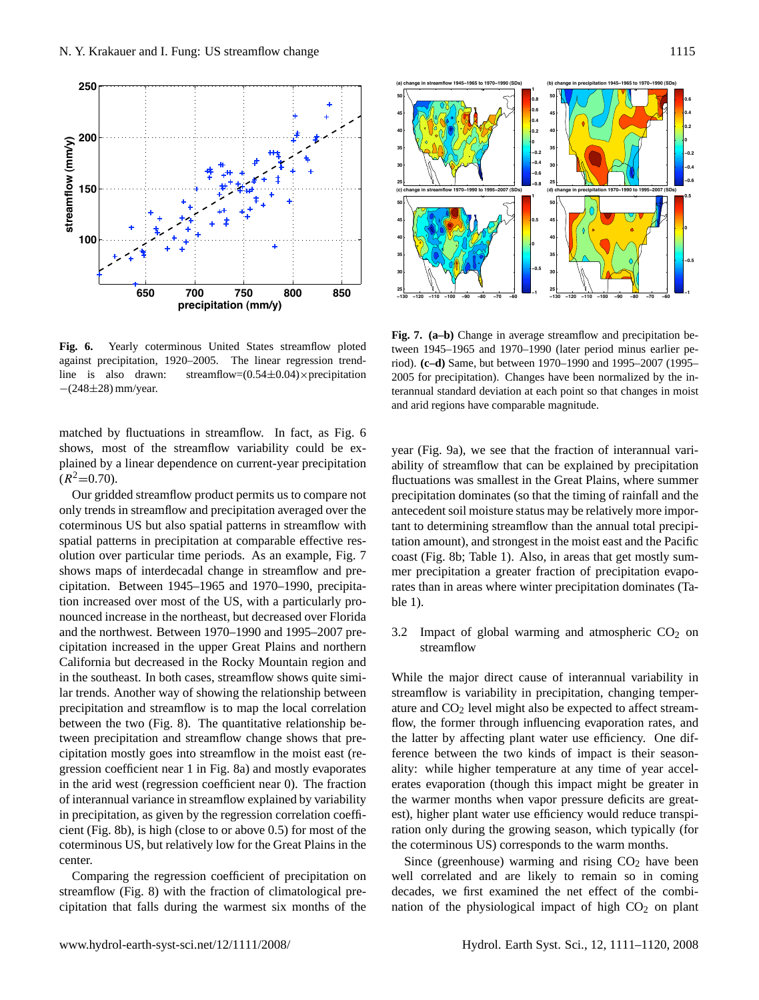

Fig. 6. Yearly coterminous United States streamflow ploted tween 194 line is also drawn:  $-(248±28)$  mm/year. line is also drawn: streamflow= $(0.54 \pm 0.04) \times$ precipitation 2005 for p against precipitation, 1920–2005. The linear regression trend-

matched by fluctuations in streamflow. In fact, as Fig. [6](#page-4-0) shows most of the streamflow variability could be  $e_{\text{y}}$  vect (Fig. precipitation dominates. This pattern agrees with the plained by a linear dependence on current-year precipitation ability of  $(R^2=0.70)$ . shows, most of the streamflow variability could be ex-year (Fig.

 $\sim$  concentrated during the grow-Our gridded streamhow pla only trends in streamflow and precipitation averaged over the anteceden to where most precipitation of the most precipitation of the socolemnous ob out also spi spatial patterns in precipitation at comparable effective res-<br>tation am abition over particular time periods. As an example  $\overline{F}$  is  $\overline{I}$  coast (Fig. shows maps of interdecadal change in streamflow and pre-<br>mer prec cipitation. Between 1945–1965 and 1970–1990, precipita-<br>rates than  $\frac{1}{2}$  more region increased over most of the US, with a porticularly records  $\frac{1}{2}$ nounced increase in the northeast, but decreased over Florida and the northwest. Between 1970–1990 and 1995–2007 pre-<br>
3.2 Imp variability and for extending observed patterns into cipitation increased in the u California but decreased in the Rocky Mountain region and increased evaporative demand incompletely of  $\mathcal{L}$ Our gridded streamflow product permits us to compare not precipitat the early  $\alpha$  is proposed to have caused a reduction  $\alpha$ coterminous US but also spatial patterns in streamflow with tant to de olution over particular time periods. As an example, Fig. [7](#page-4-1) coast (Fig. tion increased over most of the US, with a particularly pro-<br>ble 1).  $\alpha$  and  $\alpha$  and precipe-independent means  $\alpha$ cipitation increased in the upper Great Plains and northern streaters in the southeast. In both cases, streamflow shows quite similar trends. Another way of showing the relationship between precipitation and streamflow is to map the local correlation between the two (Fig. [8\)](#page-5-0). The quantitative relationship between precipitation and streamflow change shows that precipitation mostly goes into streamflow in the moist east (regression coefficient near 1 in Fig. [8a](#page-5-0)) and mostly evaporates in the arid west (regression coefficient near 0). The fraction of interannual variance in streamflow explained by variability in precipitation, as given by the regression correlation coefficient (Fig. [8b](#page-5-0)), is high (close to or above 0.5) for most of the coterminous US, but relatively low for the Great Plains in the center.

> Comparing the regression coefficient of precipitation on streamflow (Fig. [8\)](#page-5-0) with the fraction of climatological precipitation that falls during the warmest six months of the



<span id="page-4-1"></span><span id="page-4-0"></span>terannual standard deviation at each point so that changes in moist and arid regions have comparable magnitude.  $\frac{m}{\sqrt{2}}$  and  $\frac{m}{\sqrt{2}}$ Fig. 7. (a-b) Change in average streamflow and precipitation between 1945–1965 and 1970–1990 (later period minus earlier period). (c-d) Same, but between 1970–1990 and 1995–2007 (1995– 2005 for precipitation). Changes have been normalized by the in-

fluctuations was smallest in the Great Plains, where summer year (Fig. [9a](#page-5-1)), we see that the fraction of interannual variability of streamflow that can be explained by precipitation precipitation dominates (so that the timing of rainfall and the antecedent soil moisture status may be relatively more important to determining streamflow than the annual total precipitation amount), and strongest in the moist east and the Pacific coast (Fig. [8b](#page-5-0); Table [1\)](#page-6-0). Also, in areas that get mostly summer precipitation a greater fraction of precipitation evaporates than in areas where winter precipitation dominates (Table [1\)](#page-6-0).

> 3.2 Impact of global warming and atmospheric  $CO<sub>2</sub>$  on streamflow

> While the major direct cause of interannual variability in streamflow is variability in precipitation, changing temperature and  $CO<sub>2</sub>$  level might also be expected to affect streamflow, the former through influencing evaporation rates, and the latter by affecting plant water use efficiency. One difference between the two kinds of impact is their seasonality: while higher temperature at any time of year accelerates evaporation (though this impact might be greater in the warmer months when vapor pressure deficits are greatest), higher plant water use efficiency would reduce transpiration only during the growing season, which typically (for the coterminous US) corresponds to the warm months.

> Since (greenhouse) warming and rising  $CO<sub>2</sub>$  have been well correlated and are likely to remain so in coming decades, we first examined the net effect of the combination of the physiological impact of high  $CO<sub>2</sub>$  on plant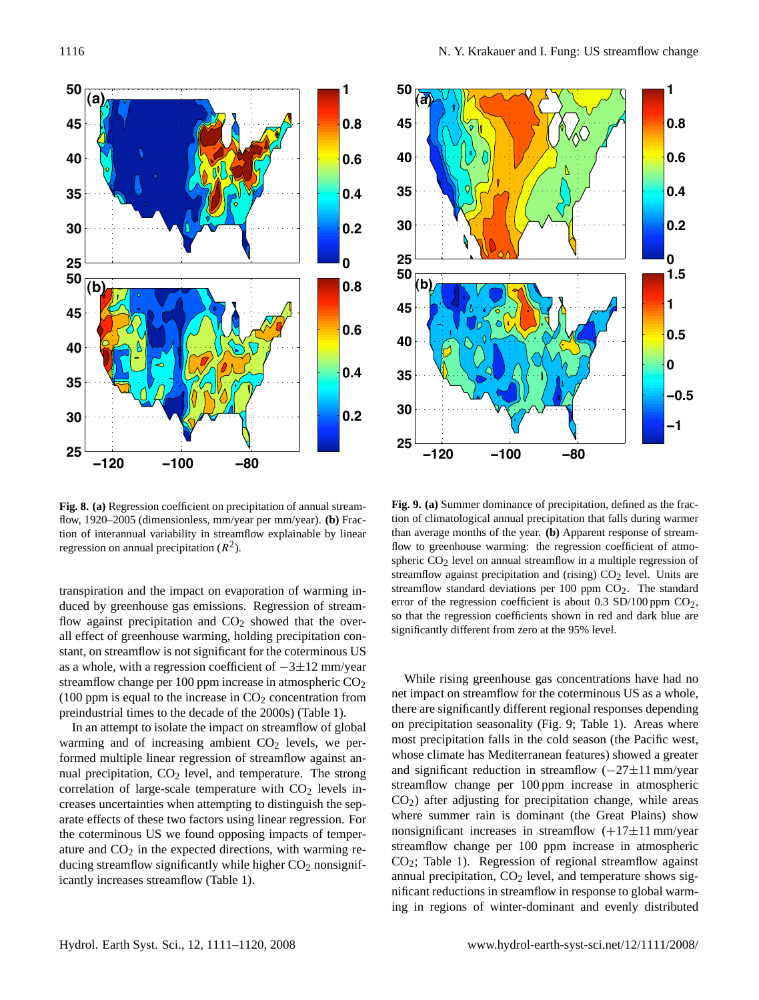

Fig. 8. (a) Regression coefficient on precipitation of annual stream-<br>
Fig. 9. (a) Summer domin flow, 1920–2005 (dimensionless, mm/year per mm/year). **(b)** Frac-<br>flow, 1920–2005 (dimensionless, mm/year per mm/year). **(b)** Fracregression on annual precipitation  $(R^2)$ . tion of interannual variability in streamflow explainable by linear

Our analysis supports net drying in some regions, and transpiration and the impact on evaporation of warming induced by greenhouse gas emissions. Regression of streamflow against precipitation and  $CO<sub>2</sub>$  showed that the overall effect of greenhouse warming, holding precipitation con-<br>
<sub>signmeantly</sub> unclear home zero stant, on streamflow is not significant for the coterminous US as a whole, with a regression coefficient of  $-3\pm 12$  mm/year streamflow change per 100 ppm increase in atmospheric  $CO<sub>2</sub>$ preindustrial times to the decade of the 2000s) (Table [1\)](#page-6-0). There are significantly d (100 ppm is equal to the increase in  $CO<sub>2</sub>$  concentration from

In an attempt to isolate the impact on streamflow of global on precipitation season warming and of increasing ambient  $CO<sub>2</sub>$  levels, we per-<br> $\frac{1}{2}$  most precipit formed multiple linear regression of streamflow against an-<br>Whose climate has Mediterrow nual precipitation,  $CO_2$  level, and temperature. The strong and significant reduction in  $\frac{M}{1}$   $\frac{1}{1}$   $\frac{1}{1}$   $\frac{1}{1}$ correlation of large-scale temperature with  $CO<sub>2</sub>$  levels increases uncertainties when attempting to distinguish the sep- $\text{CO}_2$ ) after adjusting to arate effects of these two factors using linear regression. For where summer rain is the coterminous US we found opposing impacts of temper-<br>nonsignificant increase ature and CO<sub>2</sub> in the expected directions, with warming re-<br>
ical C<sub>2</sub>  $\frac{1}{2}$  streamflow change per 1 ducing streamflow significantly while higher  $CO_2$  nonsignif-  $CO_2$ ; Lable 1). Regression icantly increases streamflow (Table [1\)](#page-6-0).





<span id="page-5-1"></span><span id="page-5-0"></span> $\frac{1}{\text{ar}}$  per mm/year). (b) Frac-<br>tion of climatological annual precipitation that falls during warmer  $\overline{CO_2}$  level on annual streamflow in a multiple regression of streamflow against precipitation and (rising)  $CO<sub>2</sub>$  level. Units are cipitation of annual stream-<br>**Fig. 9. (a)** Summer dominance of precipitation, defined as the fracflow explainable by linear than average months of the year. **(b)** Apparent response of streamflow to greenhouse warming: the regression coefficient of atmo-Regression of stream-crror of the regression coefficient is about 0.3 SD/100 ppm CO<sub>2</sub>,  $\Omega$  showed that the over-<br>olding procinitation consumering ignificantly different from zero at the 95% level. so that the regression coefficients shown in red and dark blue are streamflow standard deviations per  $100$  ppm  $CO<sub>2</sub>$ . The standard

in  $CO<sub>2</sub>$  concentration from net impact on streamflow for the coterminous US as a whole,  $\frac{1}{\text{COL}}$  concentration from<br>the 2000s) (Table 1). there are significantly different regional responses depending  $\text{Depth CO}_2$  levels, we per-<br>1 of streamflow against an-<br>2 of streamflow against an-<br>2 whose climate has Mediterranean features) showed a greater temperature. The strong and significant reduction in streamflow  $(-27 \pm 11 \text{ mm/year})$  $\frac{1}{2}$  components. The stream streamflow change per 100 ppm increase in atmospheric ease in atmospheric  $CO<sub>2</sub>$  While rising greenhouse gas concentrations have had no in streamflow of global on precipitation seasonality (Fig. [9;](#page-5-1) Table [1\)](#page-6-0). Areas where  $\frac{1}{2}$  continental records run continental records,  $\frac{1}{2}$  and  $\frac{1}{2}$  article in the cold season (the Pacific west, to distinguish the sep-  $CO<sub>2</sub>$ ) after adjusting for precipitation change, while areas  $F_{\text{eff}}$  is dominant (the Great Plains) show  $F_{\text{eff}}$  where summer rain is dominant (the Great Plains) show  $\frac{d}{d}$  mear regression. For nonsignificant increases in streamflow  $(+17\pm11 \text{ mm/year})$ charge and the continuum interests of the continuum continuum continuum continuum continuum continuum continuum continuum continuum continuum continuum continuum continuum continuum continuum continuum continuum continuum whose climate has Mediterranean features) showed a greater  $\sum_{i=1}^{\infty}$  Trends in the two-theory  $CO<sub>2</sub>$ ; Table [1\)](#page-6-0). Regression of regional streamflow against annual precipitation,  $CO<sub>2</sub>$  level, and temperature shows significant reductions in streamflow in response to global warming in regions of winter-dominant and evenly distributed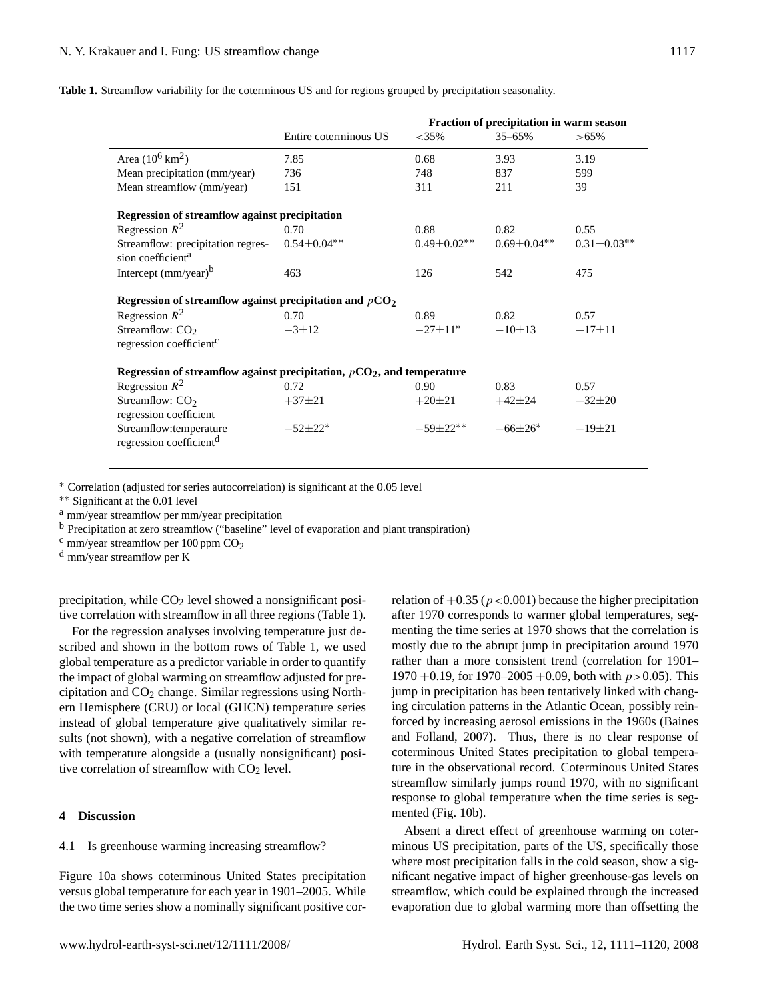**Table 1.** Streamflow variability for the coterminous US and for regions grouped by precipitation seasonality.

<span id="page-6-0"></span>

|                                                                          |                       | Fraction of precipitation in warm season |                    |                    |
|--------------------------------------------------------------------------|-----------------------|------------------------------------------|--------------------|--------------------|
|                                                                          | Entire coterminous US | $<$ 35%                                  | $35 - 65%$         | $>65\%$            |
| Area $(10^6 \,\rm km^2)$                                                 | 7.85                  | 0.68                                     | 3.93               | 3.19               |
| Mean precipitation (mm/year)                                             | 736                   | 748                                      | 837                | 599                |
| Mean streamflow (mm/year)                                                | 151                   | 311                                      | 211                | 39                 |
| Regression of streamflow against precipitation                           |                       |                                          |                    |                    |
| Regression $R^2$                                                         | 0.70                  | 0.88                                     | 0.82               | 0.55               |
| Streamflow: precipitation regres-                                        | $0.54 \pm 0.04$ **    | $0.49 \pm 0.02$ **                       | $0.69 \pm 0.04$ ** | $0.31 \pm 0.03$ ** |
| sion coefficient <sup>a</sup>                                            |                       |                                          |                    |                    |
| Intercept $(mm/year)^b$                                                  | 463                   | 126                                      | 542                | 475                |
| Regression of streamflow against precipitation and $pCO2$                |                       |                                          |                    |                    |
| Regression $R^2$                                                         | 0.70                  | 0.89                                     | 0.82               | 0.57               |
| Streamflow: $CO2$                                                        | $-3+12$               | $-27+11*$                                | $-10\pm13$         | $+17\pm11$         |
| regression coefficient <sup>c</sup>                                      |                       |                                          |                    |                    |
| Regression of streamflow against precipitation, $pCO2$ , and temperature |                       |                                          |                    |                    |
| Regression $R^2$                                                         | 0.72                  | 0.90                                     | 0.83               | 0.57               |
| Streamflow: $CO2$                                                        | $+37+21$              | $+20\pm 21$                              | $+42\pm 24$        | $+32\pm 20$        |
| regression coefficient                                                   |                       |                                          |                    |                    |
| Streamflow:temperature                                                   | $-52\pm22*$           | $-59\pm22**$                             | $-66\pm26*$        | $-19\pm 21$        |
| regression coefficient <sup>d</sup>                                      |                       |                                          |                    |                    |
|                                                                          |                       |                                          |                    |                    |

<sup>∗</sup> Correlation (adjusted for series autocorrelation) is significant at the 0.05 level

∗∗ Significant at the 0.01 level

<sup>a</sup> mm/year streamflow per mm/year precipitation

<sup>b</sup> Precipitation at zero streamflow ("baseline" level of evaporation and plant transpiration)

 $\frac{c}{c}$  mm/year streamflow per 100 ppm  $CO<sub>2</sub>$ 

<sup>d</sup> mm/year streamflow per K

precipitation, while  $CO<sub>2</sub>$  level showed a nonsignificant positive correlation with streamflow in all three regions (Table [1\)](#page-6-0).

For the regression analyses involving temperature just described and shown in the bottom rows of Table [1,](#page-6-0) we used global temperature as a predictor variable in order to quantify the impact of global warming on streamflow adjusted for precipitation and  $CO<sub>2</sub>$  change. Similar regressions using Northern Hemisphere (CRU) or local (GHCN) temperature series instead of global temperature give qualitatively similar results (not shown), with a negative correlation of streamflow with temperature alongside a (usually nonsignificant) positive correlation of streamflow with  $CO<sub>2</sub>$  level.

### **4 Discussion**

### 4.1 Is greenhouse warming increasing streamflow?

Figure [10a](#page-7-0) shows coterminous United States precipitation versus global temperature for each year in 1901–2005. While the two time series show a nominally significant positive correlation of  $+0.35$  ( $p < 0.001$ ) because the higher precipitation after 1970 corresponds to warmer global temperatures, segmenting the time series at 1970 shows that the correlation is mostly due to the abrupt jump in precipitation around 1970 rather than a more consistent trend (correlation for 1901–  $1970 + 0.19$ , for  $1970 - 2005 + 0.09$ , both with  $p > 0.05$ ). This jump in precipitation has been tentatively linked with changing circulation patterns in the Atlantic Ocean, possibly reinforced by increasing aerosol emissions in the 1960s [\(Baines](#page-8-14) [and Folland,](#page-8-14) [2007\)](#page-8-14). Thus, there is no clear response of coterminous United States precipitation to global temperature in the observational record. Coterminous United States streamflow similarly jumps round 1970, with no significant response to global temperature when the time series is segmented (Fig. [10b](#page-7-0)).

Absent a direct effect of greenhouse warming on coterminous US precipitation, parts of the US, specifically those where most precipitation falls in the cold season, show a significant negative impact of higher greenhouse-gas levels on streamflow, which could be explained through the increased evaporation due to global warming more than offsetting the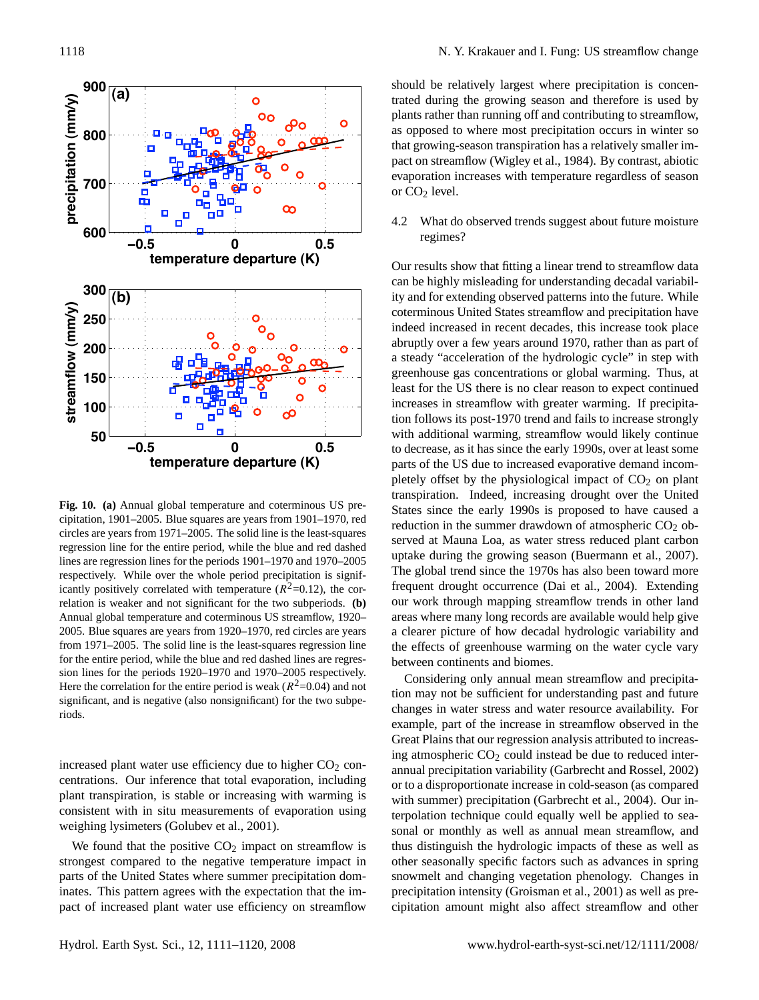

<span id="page-7-0"></span>**Fig. 10.** (a) Annual global temperature and coterminous US pre-<br>States sin cipitation, 1901–2005. Blue squares are years from 1901–1970, red  $\frac{1}{2}$  reduction<br>circles are years from 1971–2005. The solid line is the least-squares regression line for the entire period, while the blue and red dashed lines are regression lines for the periods  $1901-1970$  and  $1970-2005$  uptake di relation is weaker and not significant for the two subperiods. **(b)** our work Annual global temperature and coterminous US streamflow, 1920– 2005. Blue squares are years from 1920-1970, red circles are years a clearer from 1971–2005. The solid line is the least-squares regression line the effectual state of the solid line is the least-squares regression line respectively. While over the whole period precipitation is significantly positively correlated with temperature ( $R^2$ =0.12), the corfor the entire period, while the blue and red dashed lines are regression lines for the periods 1920–1970 and 1970–2005 respectively. Here the correlation for the entire period is weak ( $R^2$ =0.04) and not significant, and is negative (also nonsignificant) for the two subperiods.

increased plant water use efficiency due to higher  $CO<sub>2</sub>$  concentrations. Our inference that total evaporation, including plant transpiration, is stable or increasing with warming is consistent with in situ measurements of evaporation using weighing lysimeters [\(Golubev et al.,](#page-8-15) [2001\)](#page-8-15).

We found that the positive  $CO<sub>2</sub>$  impact on streamflow is strongest compared to the negative temperature impact in parts of the United States where summer precipitation dominates. This pattern agrees with the expectation that the impact of increased plant water use efficiency on streamflow should be relatively largest where precipitation is concentrated during the growing season and therefore is used by plants rather than running off and contributing to streamflow, as opposed to where most precipitation occurs in winter so that growing-season transpiration has a relatively smaller impact on streamflow [\(Wigley et al.,](#page-9-8) [1984\)](#page-9-8). By contrast, abiotic evaporation increases with temperature regardless of season or  $CO<sub>2</sub>$  level.

4.2 What do observed trends suggest about future moisture regimes?

Our results show that fitting a linear trend to streamflow data can be highly misleading for understanding decadal variability and for extending observed patterns into the future. While coterminous United States streamflow and precipitation have indeed increased in recent decades, this increase took place abruptly over a few years around 1970, rather than as part of a steady "acceleration of the hydrologic cycle" in step with greenhouse gas concentrations or global warming. Thus, at least for the US there is no clear reason to expect continued increases in streamflow with greater warming. If precipitation follows its post-1970 trend and fails to increase strongly with additional warming, streamflow would likely continue to decrease, as it has since the early 1990s, over at least some parts of the US due to increased evaporative demand incompletely offset by the physiological impact of  $CO<sub>2</sub>$  on plant transpiration. Indeed, increasing drought over the United States since the early 1990s is proposed to have caused a reduction in the summer drawdown of atmospheric  $CO<sub>2</sub>$  observed at Mauna Loa, as water stress reduced plant carbon uptake during the growing season [\(Buermann et al.,](#page-8-16) [2007\)](#page-8-16). The global trend since the 1970s has also been toward more frequent drought occurrence [\(Dai et al.,](#page-8-17) [2004\)](#page-8-17). Extending our work through mapping streamflow trends in other land areas where many long records are available would help give a clearer picture of how decadal hydrologic variability and the effects of greenhouse warming on the water cycle vary between continents and biomes.

Considering only annual mean streamflow and precipitation may not be sufficient for understanding past and future changes in water stress and water resource availability. For example, part of the increase in streamflow observed in the Great Plains that our regression analysis attributed to increasing atmospheric  $CO<sub>2</sub>$  could instead be due to reduced interannual precipitation variability [\(Garbrecht and Rossel,](#page-8-18) [2002\)](#page-8-18) or to a disproportionate increase in cold-season (as compared with summer) precipitation [\(Garbrecht et al.,](#page-8-19) [2004\)](#page-8-19). Our interpolation technique could equally well be applied to seasonal or monthly as well as annual mean streamflow, and thus distinguish the hydrologic impacts of these as well as other seasonally specific factors such as advances in spring snowmelt and changing vegetation phenology. Changes in precipitation intensity [\(Groisman et al.,](#page-8-20) [2001\)](#page-8-20) as well as precipitation amount might also affect streamflow and other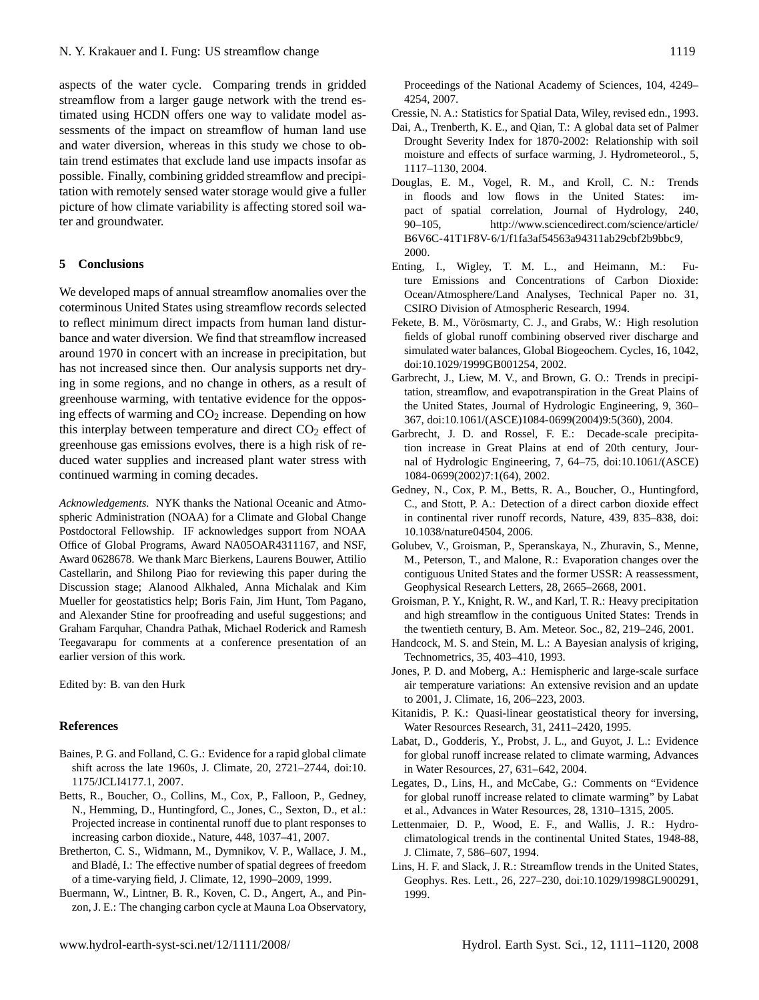aspects of the water cycle. Comparing trends in gridded streamflow from a larger gauge network with the trend estimated using HCDN offers one way to validate model assessments of the impact on streamflow of human land use and water diversion, whereas in this study we chose to obtain trend estimates that exclude land use impacts insofar as possible. Finally, combining gridded streamflow and precipitation with remotely sensed water storage would give a fuller picture of how climate variability is affecting stored soil water and groundwater.

### **5 Conclusions**

We developed maps of annual streamflow anomalies over the coterminous United States using streamflow records selected to reflect minimum direct impacts from human land disturbance and water diversion. We find that streamflow increased around 1970 in concert with an increase in precipitation, but has not increased since then. Our analysis supports net drying in some regions, and no change in others, as a result of greenhouse warming, with tentative evidence for the opposing effects of warming and  $CO<sub>2</sub>$  increase. Depending on how this interplay between temperature and direct  $CO<sub>2</sub>$  effect of greenhouse gas emissions evolves, there is a high risk of reduced water supplies and increased plant water stress with continued warming in coming decades.

*Acknowledgements.* NYK thanks the National Oceanic and Atmospheric Administration (NOAA) for a Climate and Global Change Postdoctoral Fellowship. IF acknowledges support from NOAA Office of Global Programs, Award NA05OAR4311167, and NSF, Award 0628678. We thank Marc Bierkens, Laurens Bouwer, Attilio Castellarin, and Shilong Piao for reviewing this paper during the Discussion stage; Alanood Alkhaled, Anna Michalak and Kim Mueller for geostatistics help; Boris Fain, Jim Hunt, Tom Pagano, and Alexander Stine for proofreading and useful suggestions; and Graham Farquhar, Chandra Pathak, Michael Roderick and Ramesh Teegavarapu for comments at a conference presentation of an earlier version of this work.

Edited by: B. van den Hurk

### **References**

- <span id="page-8-14"></span>Baines, P. G. and Folland, C. G.: Evidence for a rapid global climate shift across the late 1960s, J. Climate, 20, 2721–2744, doi:10. 1175/JCLI4177.1, 2007.
- <span id="page-8-3"></span>Betts, R., Boucher, O., Collins, M., Cox, P., Falloon, P., Gedney, N., Hemming, D., Huntingford, C., Jones, C., Sexton, D., et al.: Projected increase in continental runoff due to plant responses to increasing carbon dioxide., Nature, 448, 1037–41, 2007.
- <span id="page-8-13"></span>Bretherton, C. S., Widmann, M., Dymnikov, V. P., Wallace, J. M., and Bladé, I.: The effective number of spatial degrees of freedom of a time-varying field, J. Climate, 12, 1990–2009, 1999.
- <span id="page-8-16"></span>Buermann, W., Lintner, B. R., Koven, C. D., Angert, A., and Pinzon, J. E.: The changing carbon cycle at Mauna Loa Observatory,
- <span id="page-8-17"></span>Dai, A., Trenberth, K. E., and Qian, T.: A global data set of Palmer Drought Severity Index for 1870-2002: Relationship with soil moisture and effects of surface warming, J. Hydrometeorol., 5, 1117–1130, 2004.
- <span id="page-8-6"></span>Douglas, E. M., Vogel, R. M., and Kroll, C. N.: Trends in floods and low flows in the United States: impact of spatial correlation, Journal of Hydrology, 240, 90–105, [http://www.sciencedirect.com/science/article/](http://www.sciencedirect.com/science/article/B6V6C-41T1F8V-6/1/f1fa3af54563a94311ab29cbf2b9bbc9) [B6V6C-41T1F8V-6/1/f1fa3af54563a94311ab29cbf2b9bbc9,](http://www.sciencedirect.com/science/article/B6V6C-41T1F8V-6/1/f1fa3af54563a94311ab29cbf2b9bbc9) 2000.
- <span id="page-8-11"></span>Enting, I., Wigley, T. M. L., and Heimann, M.: Future Emissions and Concentrations of Carbon Dioxide: Ocean/Atmosphere/Land Analyses, Technical Paper no. 31, CSIRO Division of Atmospheric Research, 1994.
- <span id="page-8-10"></span>Fekete, B. M., Vörösmarty, C. J., and Grabs, W.: High resolution fields of global runoff combining observed river discharge and simulated water balances, Global Biogeochem. Cycles, 16, 1042, doi:10.1029/1999GB001254, 2002.
- <span id="page-8-19"></span>Garbrecht, J., Liew, M. V., and Brown, G. O.: Trends in precipitation, streamflow, and evapotranspiration in the Great Plains of the United States, Journal of Hydrologic Engineering, 9, 360– 367, doi:10.1061/(ASCE)1084-0699(2004)9:5(360), 2004.
- <span id="page-8-18"></span>Garbrecht, J. D. and Rossel, F. E.: Decade-scale precipitation increase in Great Plains at end of 20th century, Journal of Hydrologic Engineering, 7, 64–75, doi:10.1061/(ASCE) 1084-0699(2002)7:1(64), 2002.
- <span id="page-8-2"></span>Gedney, N., Cox, P. M., Betts, R. A., Boucher, O., Huntingford, C., and Stott, P. A.: Detection of a direct carbon dioxide effect in continental river runoff records, Nature, 439, 835–838, doi: 10.1038/nature04504, 2006.
- <span id="page-8-15"></span>Golubev, V., Groisman, P., Speranskaya, N., Zhuravin, S., Menne, M., Peterson, T., and Malone, R.: Evaporation changes over the contiguous United States and the former USSR: A reassessment, Geophysical Research Letters, 28, 2665–2668, 2001.
- <span id="page-8-20"></span>Groisman, P. Y., Knight, R. W., and Karl, T. R.: Heavy precipitation and high streamflow in the contiguous United States: Trends in the twentieth century, B. Am. Meteor. Soc., 82, 219–246, 2001.
- <span id="page-8-7"></span>Handcock, M. S. and Stein, M. L.: A Bayesian analysis of kriging, Technometrics, 35, 403–410, 1993.
- <span id="page-8-12"></span>Jones, P. D. and Moberg, A.: Hemispheric and large-scale surface air temperature variations: An extensive revision and an update to 2001, J. Climate, 16, 206–223, 2003.
- <span id="page-8-8"></span>Kitanidis, P. K.: Quasi-linear geostatistical theory for inversing, Water Resources Research, 31, 2411–2420, 1995.
- <span id="page-8-0"></span>Labat, D., Godderis, Y., Probst, J. L., and Guyot, J. L.: Evidence for global runoff increase related to climate warming, Advances in Water Resources, 27, 631–642, 2004.
- <span id="page-8-1"></span>Legates, D., Lins, H., and McCabe, G.: Comments on "Evidence for global runoff increase related to climate warming" by Labat et al., Advances in Water Resources, 28, 1310–1315, 2005.
- <span id="page-8-4"></span>Lettenmaier, D. P., Wood, E. F., and Wallis, J. R.: Hydroclimatological trends in the continental United States, 1948-88, J. Climate, 7, 586–607, 1994.
- <span id="page-8-5"></span>Lins, H. F. and Slack, J. R.: Streamflow trends in the United States, Geophys. Res. Lett., 26, 227–230, doi:10.1029/1998GL900291, 1999.

<span id="page-8-9"></span>Cressie, N. A.: Statistics for Spatial Data, Wiley, revised edn., 1993.